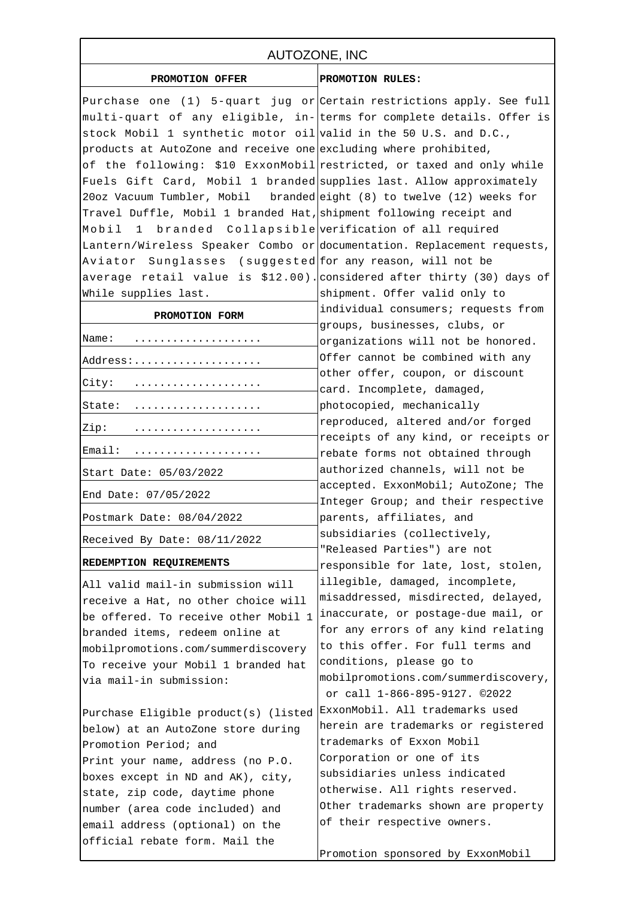## AUTOZONE, INC

**PROMOTION OFFER PROMOTION RULES:**

| FROMOIION OFFER                                                        | FRUNCIIUM RUIBO;                                                           |
|------------------------------------------------------------------------|----------------------------------------------------------------------------|
| Purchase one (1) 5-quart jug or Certain restrictions apply. See full   |                                                                            |
| multi-quart of any eligible, in- terms for complete details. Offer is  |                                                                            |
| stock Mobil 1 synthetic motor oil valid in the 50 U.S. and D.C.,       |                                                                            |
| products at AutoZone and receive one excluding where prohibited,       |                                                                            |
| of the following: \$10 ExxonMobil restricted, or taxed and only while  |                                                                            |
| Fuels Gift Card, Mobil 1 branded supplies last. Allow approximately    |                                                                            |
| 20oz Vacuum Tumbler, Mobil branded eight (8) to twelve (12) weeks for  |                                                                            |
| Travel Duffle, Mobil 1 branded Hat, shipment following receipt and     |                                                                            |
| 1 branded Collapsible verification of all required<br>Mobil            |                                                                            |
| Lantern/Wireless Speaker Combo or documentation. Replacement requests, |                                                                            |
| Aviator Sunglasses (suggested for any reason, will not be              |                                                                            |
|                                                                        | average retail value is $$12.00$ ). considered after thirty (30) days of   |
| While supplies last.                                                   | shipment. Offer valid only to                                              |
|                                                                        | individual consumers; requests from                                        |
| PROMOTION FORM                                                         | groups, businesses, clubs, or                                              |
| Name:<br>.                                                             | organizations will not be honored.                                         |
| Address:                                                               | Offer cannot be combined with any                                          |
|                                                                        | other offer, coupon, or discount                                           |
| City:                                                                  | card. Incomplete, damaged,                                                 |
| State:                                                                 | photocopied, mechanically                                                  |
| Zip:                                                                   | reproduced, altered and/or forged                                          |
|                                                                        | receipts of any kind, or receipts or                                       |
| Email:                                                                 | rebate forms not obtained through                                          |
| Start Date: 05/03/2022                                                 | authorized channels, will not be                                           |
| End Date: 07/05/2022                                                   | accepted. ExxonMobil; AutoZone; The                                        |
|                                                                        | Integer Group; and their respective                                        |
| Postmark Date: 08/04/2022                                              | parents, affiliates, and                                                   |
| Received By Date: 08/11/2022                                           | subsidiaries (collectively,                                                |
| REDEMPTION REQUIREMENTS                                                | "Released Parties") are not                                                |
|                                                                        | responsible for late, lost, stolen,                                        |
| All valid mail-in submission will                                      | illegible, damaged, incomplete,                                            |
| receive a Hat, no other choice will                                    | misaddressed, misdirected, delayed,<br>inaccurate, or postage-due mail, or |
| be offered. To receive other Mobil 1                                   | for any errors of any kind relating                                        |
| branded items, redeem online at                                        | to this offer. For full terms and                                          |
| mobilpromotions.com/summerdiscovery                                    | conditions, please go to                                                   |
| To receive your Mobil 1 branded hat                                    | mobilpromotions.com/summerdiscovery,                                       |
| via mail-in submission:                                                | or call 1-866-895-9127. 02022                                              |
| Purchase Eligible product(s) (listedExxonMobil. All trademarks used    |                                                                            |
| below) at an AutoZone store during                                     | herein are trademarks or registered                                        |
| Promotion Period; and                                                  | trademarks of Exxon Mobil                                                  |
| Print your name, address (no P.O.                                      | Corporation or one of its                                                  |
| boxes except in ND and AK), city,                                      | subsidiaries unless indicated                                              |
| state, zip code, daytime phone                                         | otherwise. All rights reserved.                                            |
| number (area code included) and                                        | Other trademarks shown are property                                        |
| email address (optional) on the                                        | of their respective owners.                                                |
| official rebate form. Mail the                                         |                                                                            |
|                                                                        | Promotion sponsored by ExxonMobil                                          |